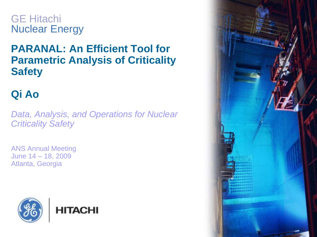GE Hitachi Nuclear Energy

### **PARANAL: An Efficient Tool for Parametric Analysis of Criticality Safety**

## **Qi Ao**

*Data, Analysis, and Operations for Nuclear Criticality Safety*

ANS Annual Meeting June 14 – 18, 2009 Atlanta, Georgia



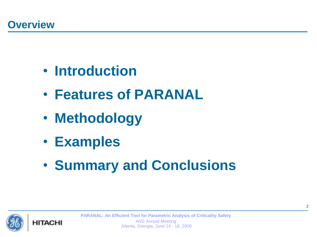- **Introduction**
- **Features of PARANAL**
- **Methodology**
- **Examples**
- **Summary and Conclusions**

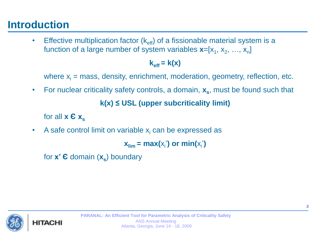## **Introduction**

• Effective multiplication factor  $(k_{\text{eff}})$  of a fissionable material system is a function of a large number of system variables **x**=[x<sub>1</sub>, x<sub>2</sub>, …, x<sub>n</sub>]

#### $k_{\text{eff}} = k(x)$

where  $x_i$  = mass, density, enrichment, moderation, geometry, reflection, etc.

• For nuclear criticality safety controls, a domain, **x<sup>s</sup>** , must be found such that **k(x) ≤ USL (upper subcriticality limit)**

for all  $x \in x_s$ 

A safe control limit on variable  $x_i$  can be expressed as

 $\mathbf{x}_{\text{lim}} = \max(\mathsf{x}_{\mathsf{i}}')$  or  $\min(\mathsf{x}_{\mathsf{i}}')$ 

for **x' Є** domain (**x<sup>s</sup>** ) boundary

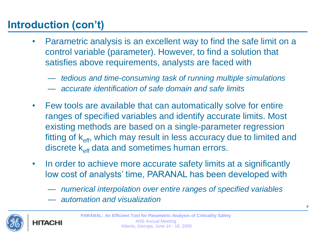# **Introduction (con't)**

- Parametric analysis is an excellent way to find the safe limit on a control variable (parameter). However, to find a solution that satisfies above requirements, analysts are faced with
	- *tedious and time-consuming task of running multiple simulations*
	- *accurate identification of safe domain and safe limits*
- Few tools are available that can automatically solve for entire ranges of specified variables and identify accurate limits. Most existing methods are based on a single-parameter regression fitting of  $k_{\text{eff}}$ , which may result in less accuracy due to limited and discrete k<sub>eff</sub> data and sometimes human errors.
- In order to achieve more accurate safety limits at a significantly low cost of analysts' time, PARANAL has been developed with
	- *numerical interpolation over entire ranges of specified variables*
	- *automation and visualization*



HITACH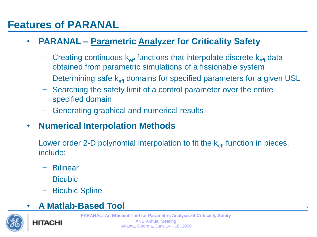## **Features of PARANAL**

### • **PARANAL – Parametric Analyzer for Criticality Safety**

- Creating continuous  $k_{\text{eff}}$  functions that interpolate discrete  $k_{\text{eff}}$  data obtained from parametric simulations of a fissionable system
- Determining safe  $k_{\text{eff}}$  domains for specified parameters for a given USL
- Searching the safety limit of a control parameter over the entire specified domain
- Generating graphical and numerical results

### • **Numerical Interpolation Methods**

Lower order 2-D polynomial interpolation to fit the  $k_{\text{eff}}$  function in pieces, include:

- Bilinear
- Bicubic
- Bicubic Spline

### • **A Matlab-Based Tool**



**HITACHI**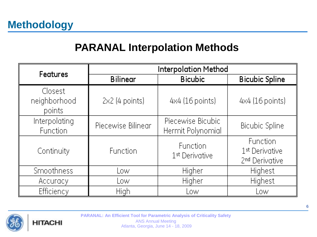## **PARANAL Interpolation Methods**

| <b>Features</b>                   | <b>Interpolation Method</b> |                                        |                                                                      |  |  |
|-----------------------------------|-----------------------------|----------------------------------------|----------------------------------------------------------------------|--|--|
|                                   | <b>Bilinear</b>             | <b>Bicubic</b>                         | <b>Bicubic Spline</b>                                                |  |  |
| Closest<br>neighborhood<br>points | $2x2$ (4 points)            | 4x4 (16 points)                        | 4x4 (16 points)                                                      |  |  |
| Interpolating<br><b>Function</b>  | Piecewise Bilinear          | Piecewise Bicubic<br>Hermit Polynomial | <b>Bicubic Spline</b>                                                |  |  |
| Continuity                        | Function                    | Function<br>1 <sup>st</sup> Derivative | Function<br>1 <sup>st</sup> Derivative<br>2 <sup>nd</sup> Derivative |  |  |
| <b>Smoothness</b>                 | Low                         | Higher                                 | Highest                                                              |  |  |
| Accuracy                          | Low                         | Higher                                 | Highest                                                              |  |  |
| Efficiency                        | High                        | Low                                    | Low                                                                  |  |  |

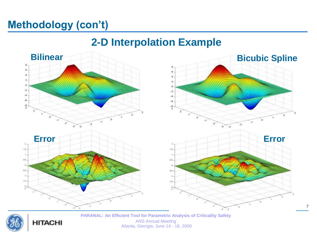# **Methodology (con't)**

### **2-D Interpolation Example**





**HITACHI** 

**PARANAL: An Efficient Tool for Parametric Analysis of Criticality Safety** ANS Annual Meeting Atlanta, Georgia, June 14 - 18, 2009

7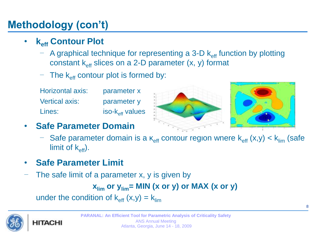# **Methodology (con't)**

- **keff Contour Plot**
	- $-$  A graphical technique for representing a 3-D  $k_{\text{eff}}$  function by plotting constant  $k_{\text{eff}}$  slices on a 2-D parameter  $(x, y)$  format
	- The  $k_{\text{eff}}$  contour plot is formed by:
	- Horizontal axis: parameter x Vertical axis: parameter y  $Lines:$  iso- $k_{\text{eff}}$  values



- **Safe Parameter Domain**
	- Safe parameter domain is a  $k_{\text{eff}}$  contour region where  $k_{\text{eff}}$  (x,y)  $< k_{\text{lim}}$  (safe limit of  $k_{\text{eff}}$ ).
- **Safe Parameter Limit**
- The safe limit of a parameter x, y is given by

 $x_{\text{lim}}$  or  $y_{\text{lim}}$  = MIN (x or y) or MAX (x or y)

under the condition of  $k_{\text{eff}} (x,y) = k_{\text{lim}}$ 

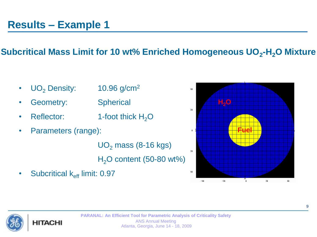### **Subcritical Mass Limit for 10 wt% Enriched Homogeneous UO<sup>2</sup> -H2O Mixture**

- $UO<sub>2</sub>$  Density: 10.96 g/cm<sup>2</sup>
- Geometry: Spherical
- Reflector:  $1$ -foot thick  $H_2O$
- Parameters (range):

 $UO<sub>2</sub>$  mass (8-16 kgs)  $H<sub>2</sub>O$  content (50-80 wt%)

• Subcritical  $k_{\text{eff}}$  limit: 0.97



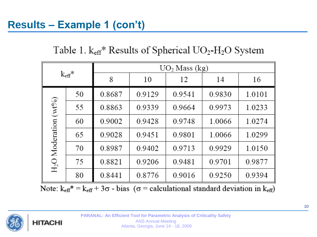Table 1.  $k_{\text{eff}}$ <sup>\*</sup> Results of Spherical UO<sub>2</sub>-H<sub>2</sub>O System

| $\rm{k_{eff}}^*$                                          |    | $UO2$ Mass (kg) |        |        |        |        |  |
|-----------------------------------------------------------|----|-----------------|--------|--------|--------|--------|--|
|                                                           |    | 8               | 10     | 12     | 14     | 16     |  |
| $(\mathcal{M}^{0}\!/_{0})$<br>H <sub>2</sub> O Moderation | 50 | 0.8687          | 0.9129 | 0.9541 | 0.9830 | 1.0101 |  |
|                                                           | 55 | 0.8863          | 0.9339 | 0.9664 | 0.9973 | 1.0233 |  |
|                                                           | 60 | 0.9002          | 0.9428 | 0.9748 | 1.0066 | 1.0274 |  |
|                                                           | 65 | 0.9028          | 0.9451 | 0.9801 | 1.0066 | 1.0299 |  |
|                                                           | 70 | 0.8987          | 0.9402 | 0.9713 | 0.9929 | 1.0150 |  |
|                                                           | 75 | 0.8821          | 0.9206 | 0.9481 | 0.9701 | 0.9877 |  |
|                                                           | 80 | 0.8441          | 0.8776 | 0.9016 | 0.9250 | 0.9394 |  |

Note:  $k_{\text{eff}}^* = k_{\text{eff}} + 3\sigma$  - bias ( $\sigma$  = calculational standard deviation in  $k_{\text{eff}}$ )

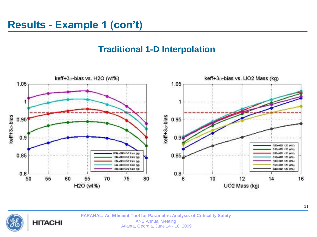#### **Traditional 1-D Interpolation**





**PARANAL: An Efficient Tool for Parametric Analysis of Criticality Safety** ANS Annual Meeting Atlanta, Georgia, June 14 - 18, 2009

11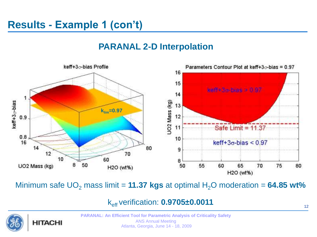#### **PARANAL 2-D Interpolation**



Minimum safe  $UO<sub>2</sub>$  mass limit = **11.37 kgs** at optimal  $H<sub>2</sub>O$  moderation = **64.85 wt%** 

keff verification: **0.9705±0.0011**

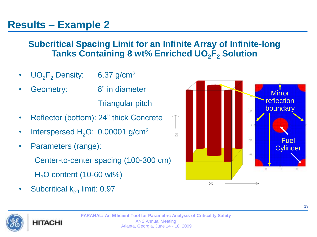#### **Subcritical Spacing Limit for an Infinite Array of Infinite-long Tanks Containing 8 wt% Enriched UO2F<sup>2</sup> Solution**

- $UO_2F_2$  Density: 6.37 g/cm<sup>2</sup>
- Geometry: 8" in diameter

Triangular pitch

- Reflector (bottom): 24" thick Concrete
- Interspersed  $H_2O$ : 0.00001 g/cm<sup>2</sup>
- Parameters (range):

Center-to-center spacing (100-300 cm)

 $H<sub>2</sub>O$  content (10-60 wt%)

• Subcritical  $k_{\text{eff}}$  limit: 0.97

HITACHI



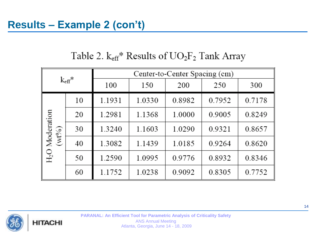### Table 2.  $k_{\text{eff}}$ <sup>\*</sup> Results of  $UO_2F_2$  Tank Array

| $\rm{k_{eff}}^*$                 |    | Center-to-Center Spacing (cm) |        |        |        |        |
|----------------------------------|----|-------------------------------|--------|--------|--------|--------|
|                                  |    | 100                           | 150    | 200    | 250    | 300    |
| Moderation<br>$(wt\%)$<br>$H_2O$ | 10 | 1.1931                        | 1.0330 | 0.8982 | 0.7952 | 0.7178 |
|                                  | 20 | 1.2981                        | 1.1368 | 1.0000 | 0.9005 | 0.8249 |
|                                  | 30 | 1.3240                        | 1.1603 | 1.0290 | 0.9321 | 0.8657 |
|                                  | 40 | 1.3082                        | 1.1439 | 1.0185 | 0.9264 | 0.8620 |
|                                  | 50 | 1.2590                        | 1.0995 | 0.9776 | 0.8932 | 0.8346 |
|                                  | 60 | 1.1752                        | 1.0238 | 0.9092 | 0.8305 | 0.7752 |

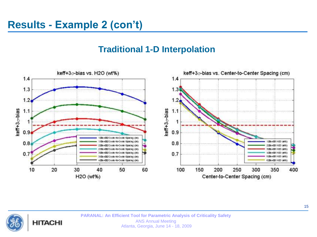#### **Traditional 1-D Interpolation**



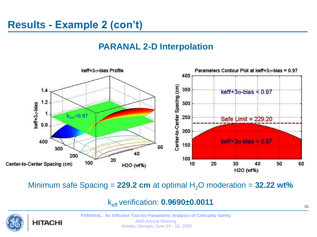#### **PARANAL 2-D Interpolation**



Minimum safe Spacing =  $229.2$  cm at optimal  $H_2O$  moderation =  $32.22$  wt%

keff verification: **0.9690±0.0011**



**PARANAL: An Efficient Tool for Parametric Analysis of Criticality Safety** ANS Annual Meeting Atlanta, Georgia, June 14 - 18, 2009

16